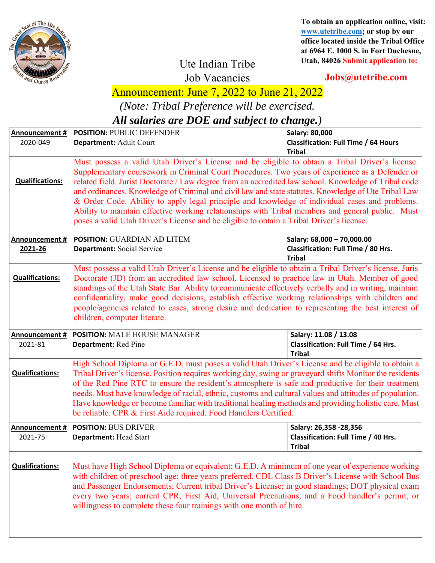

**To obtain an application online, visit: www.utetribe.com; or stop by our office located inside the Tribal Office at 6964 E. 1000 S. in Fort Duchesne, Utah, 84026 Submit application to:** 

## Ute Indian Tribe

**Jobs@utetribe.com** 

Job Vacancies

## Announcement: June 7, 2022 to June 21, 2022

*(Note: Tribal Preference will be exercised.* 

*All salaries are DOE and subject to change.)* 

| Announcement #                   | <b>POSITION: PUBLIC DEFENDER</b>                                                                                                                                                                                                                                                                                                                                                                                                                                                                                                                                                                                                                                                                                    | Salary: 80,000                                                                     |
|----------------------------------|---------------------------------------------------------------------------------------------------------------------------------------------------------------------------------------------------------------------------------------------------------------------------------------------------------------------------------------------------------------------------------------------------------------------------------------------------------------------------------------------------------------------------------------------------------------------------------------------------------------------------------------------------------------------------------------------------------------------|------------------------------------------------------------------------------------|
| 2020-049                         | Department: Adult Court                                                                                                                                                                                                                                                                                                                                                                                                                                                                                                                                                                                                                                                                                             | <b>Classification: Full Time / 64 Hours</b><br><b>Tribal</b>                       |
| <b>Qualifications:</b>           | Must possess a valid Utah Driver's License and be eligible to obtain a Tribal Driver's license.<br>Supplementary coursework in Criminal Court Procedures. Two years of experience as a Defender or<br>related field. Jurist Doctorate / Law degree from an accredited law school. Knowledge of Tribal code<br>and ordinances. Knowledge of Criminal and civil law and state statutes. Knowledge of Ute Tribal Law<br>& Order Code. Ability to apply legal principle and knowledge of individual cases and problems.<br>Ability to maintain effective working relationships with Tribal members and general public. Must<br>poses a valid Utah Driver's License and be eligible to obtain a Tribal Driver's license. |                                                                                    |
| Announcement #<br>2021-26        | <b>POSITION: GUARDIAN AD LITEM</b><br>Department: Social Service                                                                                                                                                                                                                                                                                                                                                                                                                                                                                                                                                                                                                                                    | Salary: 68,000 - 70,000.00<br>Classification: Full Time / 80 Hrs.<br><b>Tribal</b> |
| <b>Qualifications:</b>           | Must possess a valid Utah Driver's License and be eligible to obtain a Tribal Driver's license. Juris<br>Doctorate (JD) from an accredited law school. Licensed to practice law in Utah. Member of good<br>standings of the Utah State Bar. Ability to communicate effectively verbally and in writing, maintain<br>confidentiality, make good decisions, establish effective working relationships with children and<br>people/agencies related to cases, strong desire and dedication to representing the best interest of<br>children, computer literate.                                                                                                                                                        |                                                                                    |
| <b>Announcement #</b><br>2021-81 | <b>POSITION: MALE HOUSE MANAGER</b><br>Salary: 11.08 / 13.08<br>Department: Red Pine<br>Classification: Full Time / 64 Hrs.<br><b>Tribal</b>                                                                                                                                                                                                                                                                                                                                                                                                                                                                                                                                                                        |                                                                                    |
| <b>Qualifications:</b>           | High School Diploma or G.E.D, must poses a valid Utah Driver's License and be eligible to obtain a<br>Tribal Driver's license. Position requires working day, swing or graveyard shifts Monitor the residents<br>of the Red Pine RTC to ensure the resident's atmosphere is safe and productive for their treatment<br>needs. Must have knowledge of racial, ethnic, customs and cultural values and attitudes of population.<br>Have knowledge or become familiar with traditional healing methods and providing holistic care. Must<br>be reliable. CPR & First Aide required. Food Handlers Certified.                                                                                                           |                                                                                    |
| Announcement #                   | <b>POSITION: BUS DRIVER</b>                                                                                                                                                                                                                                                                                                                                                                                                                                                                                                                                                                                                                                                                                         | Salary: 26,358 - 28,356                                                            |
| 2021-75                          | <b>Department: Head Start</b>                                                                                                                                                                                                                                                                                                                                                                                                                                                                                                                                                                                                                                                                                       | Classification: Full Time / 40 Hrs.<br><b>Tribal</b>                               |
| <b>Qualifications:</b>           | Must have High School Diploma or equivalent; G.E.D. A minimum of one year of experience working<br>with children of preschool age; three years preferred. CDL Class B Driver's License with School Bus<br>and Passenger Endorsements; Current tribal Driver's License; in good standings; DOT physical exam<br>every two years; current CPR, First Aid, Universal Precautions, and a Food handler's permit, or<br>willingness to complete these four trainings with one month of hire.                                                                                                                                                                                                                              |                                                                                    |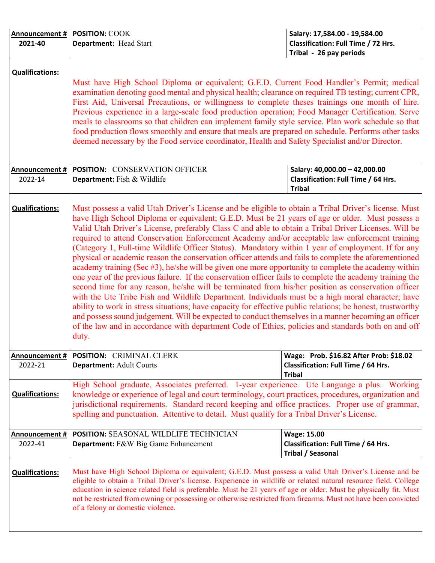| Announcement #                                      | <b>POSITION: COOK</b>                                                                                                                                                                                                                                                                                                                                                                                                                                                                                                                                                                                                                                                                                                                                                                                                                                                                                                                                                                                                                                                                                                                                                                                                                                                                                                                                                                                | Salary: 17,584.00 - 19,584.00                                                                                    |
|-----------------------------------------------------|------------------------------------------------------------------------------------------------------------------------------------------------------------------------------------------------------------------------------------------------------------------------------------------------------------------------------------------------------------------------------------------------------------------------------------------------------------------------------------------------------------------------------------------------------------------------------------------------------------------------------------------------------------------------------------------------------------------------------------------------------------------------------------------------------------------------------------------------------------------------------------------------------------------------------------------------------------------------------------------------------------------------------------------------------------------------------------------------------------------------------------------------------------------------------------------------------------------------------------------------------------------------------------------------------------------------------------------------------------------------------------------------------|------------------------------------------------------------------------------------------------------------------|
| 2021-40                                             | Department: Head Start                                                                                                                                                                                                                                                                                                                                                                                                                                                                                                                                                                                                                                                                                                                                                                                                                                                                                                                                                                                                                                                                                                                                                                                                                                                                                                                                                                               | <b>Classification: Full Time / 72 Hrs.</b>                                                                       |
|                                                     |                                                                                                                                                                                                                                                                                                                                                                                                                                                                                                                                                                                                                                                                                                                                                                                                                                                                                                                                                                                                                                                                                                                                                                                                                                                                                                                                                                                                      |                                                                                                                  |
| <b>Qualifications:</b><br>Announcement #<br>2022-14 | Must have High School Diploma or equivalent; G.E.D. Current Food Handler's Permit; medical<br>examination denoting good mental and physical health; clearance on required TB testing; current CPR,<br>First Aid, Universal Precautions, or willingness to complete theses trainings one month of hire.<br>Previous experience in a large-scale food production operation; Food Manager Certification. Serve<br>meals to classrooms so that children can implement family style service. Plan work schedule so that<br>food production flows smoothly and ensure that meals are prepared on schedule. Performs other tasks<br>deemed necessary by the Food service coordinator, Health and Safety Specialist and/or Director.<br><b>POSITION: CONSERVATION OFFICER</b><br>Department: Fish & Wildlife                                                                                                                                                                                                                                                                                                                                                                                                                                                                                                                                                                                                 | Tribal - 26 pay periods<br>Salary: 40,000.00 - 42,000.00<br>Classification: Full Time / 64 Hrs.<br><b>Tribal</b> |
| <b>Qualifications:</b>                              | Must possess a valid Utah Driver's License and be eligible to obtain a Tribal Driver's license. Must<br>have High School Diploma or equivalent; G.E.D. Must be 21 years of age or older. Must possess a<br>Valid Utah Driver's License, preferably Class C and able to obtain a Tribal Driver Licenses. Will be<br>required to attend Conservation Enforcement Academy and/or acceptable law enforcement training<br>(Category 1, Full-time Wildlife Officer Status). Mandatory within 1 year of employment. If for any<br>physical or academic reason the conservation officer attends and fails to complete the aforementioned<br>academy training (Sec #3), he/she will be given one more opportunity to complete the academy within<br>one year of the previous failure. If the conservation officer fails to complete the academy training the<br>second time for any reason, he/she will be terminated from his/her position as conservation officer<br>with the Ute Tribe Fish and Wildlife Department. Individuals must be a high moral character; have<br>ability to work in stress situations; have capacity for effective public relations; be honest, trustworthy<br>and possess sound judgement. Will be expected to conduct themselves in a manner becoming an officer<br>of the law and in accordance with department Code of Ethics, policies and standards both on and off<br>duty. |                                                                                                                  |
| Announcement #<br>2022-21                           | POSITION: CRIMINAL CLERK<br><b>Department: Adult Courts</b>                                                                                                                                                                                                                                                                                                                                                                                                                                                                                                                                                                                                                                                                                                                                                                                                                                                                                                                                                                                                                                                                                                                                                                                                                                                                                                                                          | Wage: Prob. \$16.82 After Prob: \$18.02<br>Classification: Full Time / 64 Hrs.                                   |
| <b>Qualifications:</b>                              | <b>Tribal</b><br>High School graduate, Associates preferred. 1-year experience. Ute Language a plus. Working<br>knowledge or experience of legal and court terminology, court practices, procedures, organization and<br>jurisdictional requirements. Standard record keeping and office practices. Proper use of grammar,<br>spelling and punctuation. Attentive to detail. Must qualify for a Tribal Driver's License.                                                                                                                                                                                                                                                                                                                                                                                                                                                                                                                                                                                                                                                                                                                                                                                                                                                                                                                                                                             |                                                                                                                  |
| <b>Announcement #</b><br>2022-41                    | POSITION: SEASONAL WILDLIFE TECHNICIAN<br>Department: F&W Big Game Enhancement                                                                                                                                                                                                                                                                                                                                                                                                                                                                                                                                                                                                                                                                                                                                                                                                                                                                                                                                                                                                                                                                                                                                                                                                                                                                                                                       | <b>Wage: 15.00</b><br>Classification: Full Time / 64 Hrs.<br><b>Tribal / Seasonal</b>                            |
| <b>Qualifications:</b>                              | Must have High School Diploma or equivalent; G.E.D. Must possess a valid Utah Driver's License and be<br>eligible to obtain a Tribal Driver's license. Experience in wildlife or related natural resource field. College<br>education in science related field is preferable. Must be 21 years of age or older. Must be physically fit. Must<br>not be restricted from owning or possessing or otherwise restricted from firearms. Must not have been convicted<br>of a felony or domestic violence.                                                                                                                                                                                                                                                                                                                                                                                                                                                                                                                                                                                                                                                                                                                                                                                                                                                                                                 |                                                                                                                  |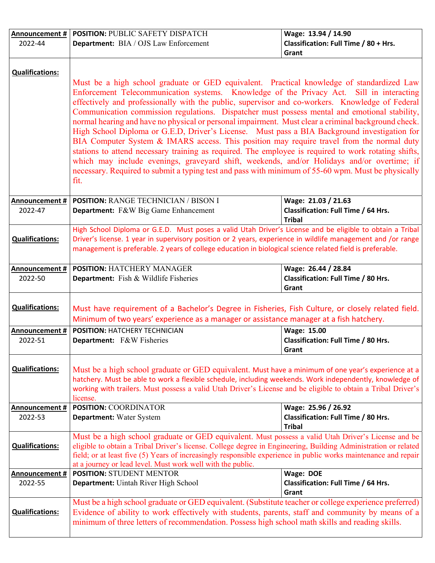| Announcement #            | POSITION: PUBLIC SAFETY DISPATCH                                                                                                                                                                                                                                                                                                                                                                                                                                                                                                                                                                                                                                                                                      | Wage: 13.94 / 14.90                                                         |
|---------------------------|-----------------------------------------------------------------------------------------------------------------------------------------------------------------------------------------------------------------------------------------------------------------------------------------------------------------------------------------------------------------------------------------------------------------------------------------------------------------------------------------------------------------------------------------------------------------------------------------------------------------------------------------------------------------------------------------------------------------------|-----------------------------------------------------------------------------|
| 2022-44                   | <b>Department:</b> BIA / OJS Law Enforcement                                                                                                                                                                                                                                                                                                                                                                                                                                                                                                                                                                                                                                                                          | Classification: Full Time / 80 + Hrs.<br>Grant                              |
|                           |                                                                                                                                                                                                                                                                                                                                                                                                                                                                                                                                                                                                                                                                                                                       |                                                                             |
| <b>Qualifications:</b>    |                                                                                                                                                                                                                                                                                                                                                                                                                                                                                                                                                                                                                                                                                                                       |                                                                             |
|                           | Must be a high school graduate or GED equivalent. Practical knowledge of standardized Law<br>Enforcement Telecommunication systems. Knowledge of the Privacy Act. Sill in interacting<br>effectively and professionally with the public, supervisor and co-workers. Knowledge of Federal                                                                                                                                                                                                                                                                                                                                                                                                                              |                                                                             |
|                           | Communication commission regulations. Dispatcher must possess mental and emotional stability,<br>normal hearing and have no physical or personal impairment. Must clear a criminal background check.<br>High School Diploma or G.E.D, Driver's License. Must pass a BIA Background investigation for<br>BIA Computer System & IMARS access. This position may require travel from the normal duty<br>stations to attend necessary training as required. The employee is required to work rotating shifts,<br>which may include evenings, graveyard shift, weekends, and/or Holidays and/or overtime; if<br>necessary. Required to submit a typing test and pass with minimum of 55-60 wpm. Must be physically<br>fit. |                                                                             |
| Announcement #<br>2022-47 | <b>POSITION: RANGE TECHNICIAN / BISON I</b><br>Department: F&W Big Game Enhancement                                                                                                                                                                                                                                                                                                                                                                                                                                                                                                                                                                                                                                   | Wage: 21.03 / 21.63<br>Classification: Full Time / 64 Hrs.<br><b>Tribal</b> |
|                           | High School Diploma or G.E.D. Must poses a valid Utah Driver's License and be eligible to obtain a Tribal                                                                                                                                                                                                                                                                                                                                                                                                                                                                                                                                                                                                             |                                                                             |
| <b>Qualifications:</b>    | Driver's license. 1 year in supervisory position or 2 years, experience in wildlife management and /or range<br>management is preferable. 2 years of college education in biological science related field is preferable.                                                                                                                                                                                                                                                                                                                                                                                                                                                                                             |                                                                             |
| Announcement #            | <b>POSITION: HATCHERY MANAGER</b>                                                                                                                                                                                                                                                                                                                                                                                                                                                                                                                                                                                                                                                                                     | Wage: 26.44 / 28.84                                                         |
| 2022-50                   | Department: Fish & Wildlife Fisheries                                                                                                                                                                                                                                                                                                                                                                                                                                                                                                                                                                                                                                                                                 | Classification: Full Time / 80 Hrs.<br>Grant                                |
| <b>Qualifications:</b>    | Must have requirement of a Bachelor's Degree in Fisheries, Fish Culture, or closely related field.<br>Minimum of two years' experience as a manager or assistance manager at a fish hatchery.                                                                                                                                                                                                                                                                                                                                                                                                                                                                                                                         |                                                                             |
| <b>Announcement#</b>      | <b>POSITION: HATCHERY TECHNICIAN</b>                                                                                                                                                                                                                                                                                                                                                                                                                                                                                                                                                                                                                                                                                  | Wage: 15.00                                                                 |
| 2022-51                   | Department: F&W Fisheries                                                                                                                                                                                                                                                                                                                                                                                                                                                                                                                                                                                                                                                                                             | Classification: Full Time / 80 Hrs.<br>Grant                                |
| <b>Qualifications:</b>    | Must be a high school graduate or GED equivalent. Must have a minimum of one year's experience at a<br>hatchery. Must be able to work a flexible schedule, including weekends. Work independently, knowledge of<br>working with trailers. Must possess a valid Utah Driver's License and be eligible to obtain a Tribal Driver's<br>license.                                                                                                                                                                                                                                                                                                                                                                          |                                                                             |
| Announcement #            | <b>POSITION: COORDINATOR</b>                                                                                                                                                                                                                                                                                                                                                                                                                                                                                                                                                                                                                                                                                          | Wage: 25.96 / 26.92                                                         |
| 2022-53                   | <b>Department:</b> Water System                                                                                                                                                                                                                                                                                                                                                                                                                                                                                                                                                                                                                                                                                       | Classification: Full Time / 80 Hrs.<br><b>Tribal</b>                        |
| <b>Qualifications:</b>    | Must be a high school graduate or GED equivalent. Must possess a valid Utah Driver's License and be<br>eligible to obtain a Tribal Driver's license. College degree in Engineering, Building Administration or related<br>field; or at least five (5) Years of increasingly responsible experience in public works maintenance and repair<br>at a journey or lead level. Must work well with the public.                                                                                                                                                                                                                                                                                                              |                                                                             |
| Announcement #            | <b>POSITION: STUDENT MENTOR</b>                                                                                                                                                                                                                                                                                                                                                                                                                                                                                                                                                                                                                                                                                       | Wage: DOE                                                                   |
| 2022-55                   | Department: Uintah River High School                                                                                                                                                                                                                                                                                                                                                                                                                                                                                                                                                                                                                                                                                  | Classification: Full Time / 64 Hrs.<br>Grant                                |
| <b>Qualifications:</b>    | Must be a high school graduate or GED equivalent. (Substitute teacher or college experience preferred)<br>Evidence of ability to work effectively with students, parents, staff and community by means of a<br>minimum of three letters of recommendation. Possess high school math skills and reading skills.                                                                                                                                                                                                                                                                                                                                                                                                        |                                                                             |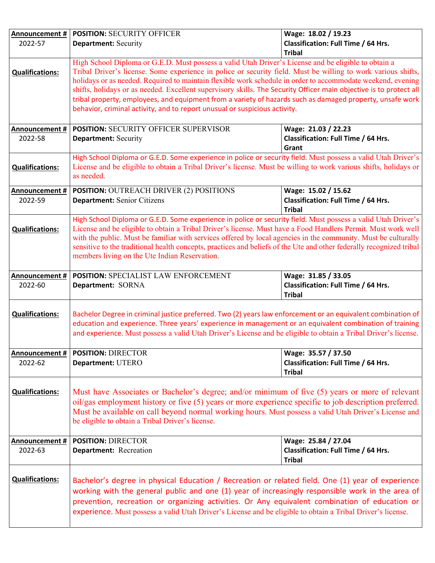| Announcement #         | <b>POSITION: SECURITY OFFICER</b>                                                                                                                                                                                           | Wage: 18.02 / 19.23                        |  |
|------------------------|-----------------------------------------------------------------------------------------------------------------------------------------------------------------------------------------------------------------------------|--------------------------------------------|--|
| 2022-57                | <b>Department: Security</b>                                                                                                                                                                                                 | Classification: Full Time / 64 Hrs.        |  |
|                        | <b>Tribal</b>                                                                                                                                                                                                               |                                            |  |
|                        | High School Diploma or G.E.D. Must possess a valid Utah Driver's License and be eligible to obtain a                                                                                                                        |                                            |  |
| <b>Qualifications:</b> | Tribal Driver's license. Some experience in police or security field. Must be willing to work various shifts,                                                                                                               |                                            |  |
|                        | holidays or as needed. Required to maintain flexible work schedule in order to accommodate weekend, evening                                                                                                                 |                                            |  |
|                        | shifts, holidays or as needed. Excellent supervisory skills. The Security Officer main objective is to protect all                                                                                                          |                                            |  |
|                        | tribal property, employees, and equipment from a variety of hazards such as damaged property, unsafe work                                                                                                                   |                                            |  |
|                        | behavior, criminal activity, and to report unusual or suspicious activity.                                                                                                                                                  |                                            |  |
|                        |                                                                                                                                                                                                                             |                                            |  |
| Announcement #         | <b>POSITION: SECURITY OFFICER SUPERVISOR</b>                                                                                                                                                                                | Wage: 21.03 / 22.23                        |  |
| 2022-58                | <b>Department: Security</b>                                                                                                                                                                                                 | Classification: Full Time / 64 Hrs.        |  |
|                        |                                                                                                                                                                                                                             | Grant                                      |  |
|                        | High School Diploma or G.E.D. Some experience in police or security field. Must possess a valid Utah Driver's                                                                                                               |                                            |  |
| <b>Qualifications:</b> | License and be eligible to obtain a Tribal Driver's license. Must be willing to work various shifts, holidays or                                                                                                            |                                            |  |
|                        | as needed.                                                                                                                                                                                                                  |                                            |  |
| <b>Announcement #</b>  | <b>POSITION: OUTREACH DRIVER (2) POSITIONS</b>                                                                                                                                                                              | Wage: 15.02 / 15.62                        |  |
| 2022-59                | Department: Senior Citizens                                                                                                                                                                                                 | Classification: Full Time / 64 Hrs.        |  |
|                        |                                                                                                                                                                                                                             | <b>Tribal</b>                              |  |
|                        | High School Diploma or G.E.D. Some experience in police or security field. Must possess a valid Utah Driver's                                                                                                               |                                            |  |
| <b>Qualifications:</b> | License and be eligible to obtain a Tribal Driver's license. Must have a Food Handlers Permit. Must work well                                                                                                               |                                            |  |
|                        | with the public. Must be familiar with services offered by local agencies in the community. Must be culturally                                                                                                              |                                            |  |
|                        | sensitive to the traditional health concepts, practices and beliefs of the Ute and other federally recognized tribal                                                                                                        |                                            |  |
|                        | members living on the Ute Indian Reservation.                                                                                                                                                                               |                                            |  |
|                        |                                                                                                                                                                                                                             |                                            |  |
| Announcement #         | POSITION: SPECIALIST LAW ENFORCEMENT<br>Wage: 31.85 / 33.05                                                                                                                                                                 |                                            |  |
| 2022-60                | Department: SORNA                                                                                                                                                                                                           | Classification: Full Time / 64 Hrs.        |  |
|                        |                                                                                                                                                                                                                             | <b>Tribal</b>                              |  |
|                        |                                                                                                                                                                                                                             |                                            |  |
| <b>Qualifications:</b> | Bachelor Degree in criminal justice preferred. Two (2) years law enforcement or an equivalent combination of                                                                                                                |                                            |  |
|                        | education and experience. Three years' experience in management or an equivalent combination of training<br>and experience. Must possess a valid Utah Driver's License and be eligible to obtain a Tribal Driver's license. |                                            |  |
|                        |                                                                                                                                                                                                                             |                                            |  |
| Announcement #         | <b>POSITION: DIRECTOR</b>                                                                                                                                                                                                   | Wage: 35.57 / 37.50                        |  |
| 2022-62                | Department: UTERO                                                                                                                                                                                                           | <b>Classification: Full Time / 64 Hrs.</b> |  |
|                        |                                                                                                                                                                                                                             | <b>Tribal</b>                              |  |
|                        |                                                                                                                                                                                                                             |                                            |  |
| <b>Qualifications:</b> | Must have Associates or Bachelor's degree; and/or minimum of five (5) years or more of relevant                                                                                                                             |                                            |  |
|                        | oil/gas employment history or five (5) years or more experience specific to job description preferred.                                                                                                                      |                                            |  |
|                        | Must be available on call beyond normal working hours. Must possess a valid Utah Driver's License and                                                                                                                       |                                            |  |
|                        | be eligible to obtain a Tribal Driver's license.                                                                                                                                                                            |                                            |  |
|                        |                                                                                                                                                                                                                             |                                            |  |
| Announcement #         | <b>POSITION: DIRECTOR</b>                                                                                                                                                                                                   | Wage: 25.84 / 27.04                        |  |
| 2022-63                | Department: Recreation                                                                                                                                                                                                      | Classification: Full Time / 64 Hrs.        |  |
|                        |                                                                                                                                                                                                                             | <b>Tribal</b>                              |  |
|                        |                                                                                                                                                                                                                             |                                            |  |
| <b>Qualifications:</b> | Bachelor's degree in physical Education / Recreation or related field. One (1) year of experience                                                                                                                           |                                            |  |
|                        | working with the general public and one (1) year of increasingly responsible work in the area of                                                                                                                            |                                            |  |
|                        | prevention, recreation or organizing activities. Or Any equivalent combination of education or                                                                                                                              |                                            |  |
|                        |                                                                                                                                                                                                                             |                                            |  |
|                        | experience. Must possess a valid Utah Driver's License and be eligible to obtain a Tribal Driver's license.                                                                                                                 |                                            |  |
|                        |                                                                                                                                                                                                                             |                                            |  |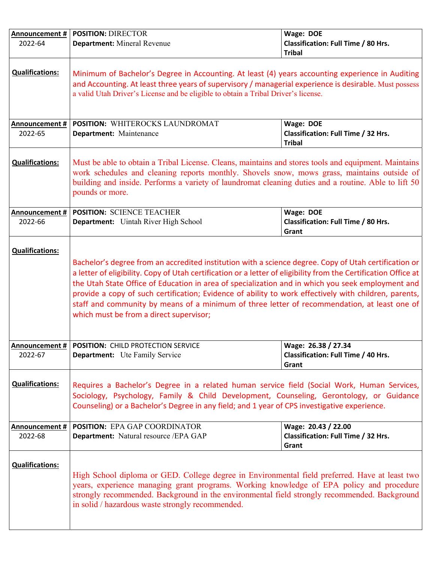| Announcement #            | <b>POSITION: DIRECTOR</b>                                                                                                                                                                                                                                                                                                                                                                                                                                                                                                                                                         | Wage: DOE                                                                  |
|---------------------------|-----------------------------------------------------------------------------------------------------------------------------------------------------------------------------------------------------------------------------------------------------------------------------------------------------------------------------------------------------------------------------------------------------------------------------------------------------------------------------------------------------------------------------------------------------------------------------------|----------------------------------------------------------------------------|
| 2022-64                   | Department: Mineral Revenue                                                                                                                                                                                                                                                                                                                                                                                                                                                                                                                                                       | Classification: Full Time / 80 Hrs.<br><b>Tribal</b>                       |
| <b>Qualifications:</b>    | Minimum of Bachelor's Degree in Accounting. At least (4) years accounting experience in Auditing<br>and Accounting. At least three years of supervisory / managerial experience is desirable. Must possess<br>a valid Utah Driver's License and be eligible to obtain a Tribal Driver's license.                                                                                                                                                                                                                                                                                  |                                                                            |
| Announcement #<br>2022-65 | <b>POSITION: WHITEROCKS LAUNDROMAT</b><br>Department: Maintenance                                                                                                                                                                                                                                                                                                                                                                                                                                                                                                                 | Wage: DOE<br>Classification: Full Time / 32 Hrs.<br><b>Tribal</b>          |
| <b>Qualifications:</b>    | Must be able to obtain a Tribal License. Cleans, maintains and stores tools and equipment. Maintains<br>work schedules and cleaning reports monthly. Shovels snow, mows grass, maintains outside of<br>building and inside. Performs a variety of laundromat cleaning duties and a routine. Able to lift 50<br>pounds or more.                                                                                                                                                                                                                                                    |                                                                            |
| Announcement #<br>2022-66 | <b>POSITION: SCIENCE TEACHER</b><br><b>Department:</b> Uintah River High School                                                                                                                                                                                                                                                                                                                                                                                                                                                                                                   | Wage: DOE<br>Classification: Full Time / 80 Hrs.<br>Grant                  |
| <b>Qualifications:</b>    | Bachelor's degree from an accredited institution with a science degree. Copy of Utah certification or<br>a letter of eligibility. Copy of Utah certification or a letter of eligibility from the Certification Office at<br>the Utah State Office of Education in area of specialization and in which you seek employment and<br>provide a copy of such certification; Evidence of ability to work effectively with children, parents,<br>staff and community by means of a minimum of three letter of recommendation, at least one of<br>which must be from a direct supervisor; |                                                                            |
| 2022-67                   | Announcement #   POSITION: CHILD PROTECTION SERVICE<br><b>Department:</b> Ute Family Service                                                                                                                                                                                                                                                                                                                                                                                                                                                                                      | Wage: 26.38 / 27.34<br><b>Classification: Full Time / 40 Hrs.</b><br>Grant |
| <b>Qualifications:</b>    | Requires a Bachelor's Degree in a related human service field (Social Work, Human Services,<br>Sociology, Psychology, Family & Child Development, Counseling, Gerontology, or Guidance<br>Counseling) or a Bachelor's Degree in any field; and 1 year of CPS investigative experience.                                                                                                                                                                                                                                                                                            |                                                                            |
| Announcement #<br>2022-68 | <b>POSITION: EPA GAP COORDINATOR</b><br>Department: Natural resource / EPA GAP                                                                                                                                                                                                                                                                                                                                                                                                                                                                                                    | Wage: 20.43 / 22.00<br>Classification: Full Time / 32 Hrs.<br>Grant        |
| <b>Qualifications:</b>    | High School diploma or GED. College degree in Environmental field preferred. Have at least two<br>years, experience managing grant programs. Working knowledge of EPA policy and procedure<br>strongly recommended. Background in the environmental field strongly recommended. Background<br>in solid / hazardous waste strongly recommended.                                                                                                                                                                                                                                    |                                                                            |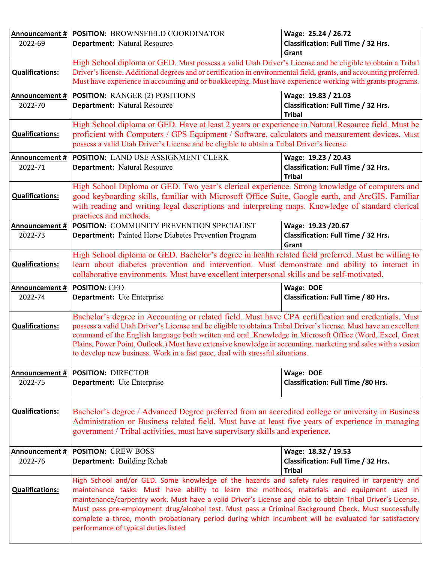| Announcement #         | POSITION: BROWNSFIELD COORDINATOR                                                                                                                                                                                        | Wage: 25.24 / 26.72                                  |
|------------------------|--------------------------------------------------------------------------------------------------------------------------------------------------------------------------------------------------------------------------|------------------------------------------------------|
| 2022-69                | <b>Department: Natural Resource</b>                                                                                                                                                                                      | Classification: Full Time / 32 Hrs.                  |
|                        |                                                                                                                                                                                                                          | Grant                                                |
|                        | High School diploma or GED. Must possess a valid Utah Driver's License and be eligible to obtain a Tribal                                                                                                                |                                                      |
| <b>Qualifications:</b> | Driver's license. Additional degrees and or certification in environmental field, grants, and accounting preferred.                                                                                                      |                                                      |
|                        | Must have experience in accounting and or bookkeeping. Must have experience working with grants programs.                                                                                                                |                                                      |
| Announcement #         | <b>POSITION: RANGER (2) POSITIONS</b>                                                                                                                                                                                    | Wage: 19.83 / 21.03                                  |
| 2022-70                | Department: Natural Resource                                                                                                                                                                                             | Classification: Full Time / 32 Hrs.                  |
|                        |                                                                                                                                                                                                                          | <b>Tribal</b>                                        |
|                        | High School diploma or GED. Have at least 2 years or experience in Natural Resource field. Must be                                                                                                                       |                                                      |
| <b>Qualifications:</b> | proficient with Computers / GPS Equipment / Software, calculators and measurement devices. Must                                                                                                                          |                                                      |
|                        | possess a valid Utah Driver's License and be eligible to obtain a Tribal Driver's license.                                                                                                                               |                                                      |
|                        |                                                                                                                                                                                                                          |                                                      |
| Announcement #         | <b>POSITION: LAND USE ASSIGNMENT CLERK</b>                                                                                                                                                                               | Wage: 19.23 / 20.43                                  |
| 2022-71                | <b>Department: Natural Resource</b>                                                                                                                                                                                      | Classification: Full Time / 32 Hrs.<br><b>Tribal</b> |
|                        |                                                                                                                                                                                                                          |                                                      |
| <b>Qualifications:</b> | High School Diploma or GED. Two year's clerical experience. Strong knowledge of computers and<br>good keyboarding skills, familiar with Microsoft Office Suite, Google earth, and ArcGIS. Familiar                       |                                                      |
|                        | with reading and writing legal descriptions and interpreting maps. Knowledge of standard clerical                                                                                                                        |                                                      |
|                        | practices and methods.                                                                                                                                                                                                   |                                                      |
| Announcement #         | POSITION: COMMUNITY PREVENTION SPECIALIST                                                                                                                                                                                | Wage: 19.23 /20.67                                   |
| 2022-73                | <b>Department:</b> Painted Horse Diabetes Prevention Program                                                                                                                                                             | Classification: Full Time / 32 Hrs.                  |
|                        |                                                                                                                                                                                                                          | Grant                                                |
|                        | High School diploma or GED. Bachelor's degree in health related field preferred. Must be willing to                                                                                                                      |                                                      |
| <b>Qualifications:</b> | learn about diabetes prevention and intervention. Must demonstrate and ability to interact in                                                                                                                            |                                                      |
|                        | collaborative environments. Must have excellent interpersonal skills and be self-motivated.                                                                                                                              |                                                      |
|                        |                                                                                                                                                                                                                          |                                                      |
|                        |                                                                                                                                                                                                                          |                                                      |
| Announcement #         | <b>POSITION: CEO</b>                                                                                                                                                                                                     | Wage: DOE                                            |
| 2022-74                | Department: Ute Enterprise                                                                                                                                                                                               | Classification: Full Time / 80 Hrs.                  |
|                        |                                                                                                                                                                                                                          |                                                      |
| <b>Qualifications:</b> | Bachelor's degree in Accounting or related field. Must have CPA certification and credentials. Must<br>possess a valid Utah Driver's License and be eligible to obtain a Tribal Driver's license. Must have an excellent |                                                      |
|                        | command of the English language both written and oral. Knowledge in Microsoft Office (Word, Excel, Great                                                                                                                 |                                                      |
|                        | Plains, Power Point, Outlook.) Must have extensive knowledge in accounting, marketing and sales with a vesion                                                                                                            |                                                      |
|                        | to develop new business. Work in a fast pace, deal with stressful situations.                                                                                                                                            |                                                      |
|                        |                                                                                                                                                                                                                          |                                                      |
| Announcement #         | <b>POSITION: DIRECTOR</b>                                                                                                                                                                                                | Wage: DOE                                            |
| 2022-75                | Department: Ute Enterprise                                                                                                                                                                                               | <b>Classification: Full Time /80 Hrs.</b>            |
|                        |                                                                                                                                                                                                                          |                                                      |
|                        |                                                                                                                                                                                                                          |                                                      |
| <b>Qualifications:</b> | Bachelor's degree / Advanced Degree preferred from an accredited college or university in Business                                                                                                                       |                                                      |
|                        | Administration or Business related field. Must have at least five years of experience in managing                                                                                                                        |                                                      |
|                        | government / Tribal activities, must have supervisory skills and experience.                                                                                                                                             |                                                      |
| Announcement #         | <b>POSITION: CREW BOSS</b>                                                                                                                                                                                               | Wage: 18.32 / 19.53                                  |
| 2022-76                | <b>Department:</b> Building Rehab                                                                                                                                                                                        | Classification: Full Time / 32 Hrs.                  |
|                        |                                                                                                                                                                                                                          | <b>Tribal</b>                                        |
|                        | High School and/or GED. Some knowledge of the hazards and safety rules required in carpentry and                                                                                                                         |                                                      |
| <b>Qualifications:</b> | maintenance tasks. Must have ability to learn the methods, materials and equipment used in                                                                                                                               |                                                      |
|                        | maintenance/carpentry work. Must have a valid Driver's License and able to obtain Tribal Driver's License.                                                                                                               |                                                      |
|                        | Must pass pre-employment drug/alcohol test. Must pass a Criminal Background Check. Must successfully                                                                                                                     |                                                      |
|                        | complete a three, month probationary period during which incumbent will be evaluated for satisfactory<br>performance of typical duties listed                                                                            |                                                      |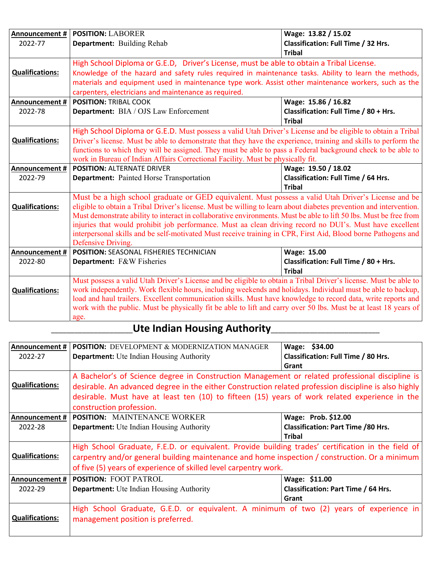| Announcement #         | <b>POSITION: LABORER</b>                                                                                           | Wage: 13.82 / 15.02                                  |
|------------------------|--------------------------------------------------------------------------------------------------------------------|------------------------------------------------------|
| 2022-77                | Department: Building Rehab                                                                                         | Classification: Full Time / 32 Hrs.                  |
|                        |                                                                                                                    | <b>Tribal</b>                                        |
|                        | High School Diploma or G.E.D, Driver's License, must be able to obtain a Tribal License.                           |                                                      |
| <b>Qualifications:</b> | Knowledge of the hazard and safety rules required in maintenance tasks. Ability to learn the methods,              |                                                      |
|                        | materials and equipment used in maintenance type work. Assist other maintenance workers, such as the               |                                                      |
|                        | carpenters, electricians and maintenance as required.                                                              |                                                      |
| <b>Announcement #</b>  | <b>POSITION: TRIBAL COOK</b>                                                                                       | Wage: 15.86 / 16.82                                  |
| 2022-78                | <b>Department:</b> BIA / OJS Law Enforcement                                                                       | Classification: Full Time / 80 + Hrs.                |
|                        |                                                                                                                    | <b>Tribal</b>                                        |
|                        | High School Diploma or G.E.D. Must possess a valid Utah Driver's License and be eligible to obtain a Tribal        |                                                      |
| <b>Qualifications:</b> | Driver's license. Must be able to demonstrate that they have the experience, training and skills to perform the    |                                                      |
|                        | functions to which they will be assigned. They must be able to pass a Federal background check to be able to       |                                                      |
|                        | work in Bureau of Indian Affairs Correctional Facility. Must be physically fit.                                    |                                                      |
| Announcement #         | Wage: 19.50 / 18.02<br><b>POSITION: ALTERNATE DRIVER</b>                                                           |                                                      |
| 2022-79                | <b>Department:</b> Painted Horse Transportation                                                                    | Classification: Full Time / 64 Hrs.<br><b>Tribal</b> |
|                        | Must be a high school graduate or GED equivalent. Must possess a valid Utah Driver's License and be                |                                                      |
| <b>Qualifications:</b> | eligible to obtain a Tribal Driver's license. Must be willing to learn about diabetes prevention and intervention. |                                                      |
|                        | Must demonstrate ability to interact in collaborative environments. Must be able to lift 50 lbs. Must be free from |                                                      |
|                        | injuries that would prohibit job performance. Must aa clean driving record no DUI's. Must have excellent           |                                                      |
|                        | interpersonal skills and be self-motivated Must receive training in CPR, First Aid, Blood borne Pathogens and      |                                                      |
|                        | Defensive Driving.                                                                                                 |                                                      |
| <b>Announcement #</b>  | <b>POSITION: SEASONAL FISHERIES TECHNICIAN</b>                                                                     | Wage: 15.00                                          |
| 2022-80                | Department: F&W Fisheries                                                                                          | Classification: Full Time / 80 + Hrs.                |
|                        |                                                                                                                    | <b>Tribal</b>                                        |
|                        | Must possess a valid Utah Driver's License and be eligible to obtain a Tribal Driver's license. Must be able to    |                                                      |
| <b>Qualifications:</b> | work independently. Work flexible hours, including weekends and holidays. Individual must be able to backup,       |                                                      |
|                        | load and haul trailers. Excellent communication skills. Must have knowledge to record data, write reports and      |                                                      |
|                        | work with the public. Must be physically fit be able to lift and carry over 50 lbs. Must be at least 18 years of   |                                                      |
|                        | age.                                                                                                               |                                                      |

## \_\_\_\_\_\_\_\_\_\_\_\_\_\_\_\_\_\_\_\_\_**Ute Indian Housing Authority**\_\_\_\_\_\_\_\_\_\_\_\_\_\_\_\_\_\_\_\_\_\_\_\_\_\_\_\_

| Announcement #<br>2022-27 | <b>POSITION:</b> DEVELOPMENT & MODERNIZATION MANAGER<br><b>Department:</b> Ute Indian Housing Authority                                                                                                                                                                                                                                         | Wage: \$34.00<br>Classification: Full Time / 80 Hrs.                              |
|---------------------------|-------------------------------------------------------------------------------------------------------------------------------------------------------------------------------------------------------------------------------------------------------------------------------------------------------------------------------------------------|-----------------------------------------------------------------------------------|
| <b>Qualifications:</b>    | Grant<br>A Bachelor's of Science degree in Construction Management or related professional discipline is<br>desirable. An advanced degree in the either Construction related profession discipline is also highly<br>desirable. Must have at least ten (10) to fifteen (15) years of work related experience in the<br>construction profession. |                                                                                   |
| Announcement #<br>2022-28 | <b>POSITION:</b> MAINTENANCE WORKER<br><b>Department:</b> Ute Indian Housing Authority                                                                                                                                                                                                                                                          | Wage: Prob. \$12.00<br><b>Classification: Part Time /80 Hrs.</b><br><b>Tribal</b> |
| <b>Qualifications:</b>    | High School Graduate, F.E.D. or equivalent. Provide building trades' certification in the field of<br>carpentry and/or general building maintenance and home inspection / construction. Or a minimum<br>of five (5) years of experience of skilled level carpentry work.                                                                        |                                                                                   |
| Announcement #<br>2022-29 | <b>POSITION: FOOT PATROL</b><br><b>Department:</b> Ute Indian Housing Authority                                                                                                                                                                                                                                                                 | Wage: \$11.00<br>Classification: Part Time / 64 Hrs.<br>Grant                     |
| <b>Qualifications:</b>    | High School Graduate, G.E.D. or equivalent. A minimum of two (2) years of experience in<br>management position is preferred.                                                                                                                                                                                                                    |                                                                                   |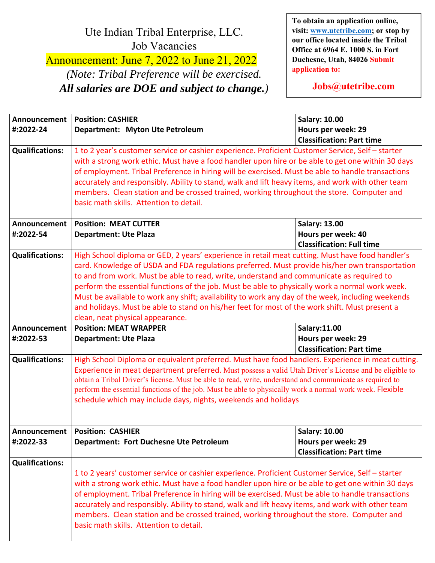## Ute Indian Tribal Enterprise, LLC. Job Vacancies

Announcement: June 7, 2022 to June 21, 2022 *(Note: Tribal Preference will be exercised. All salaries are DOE and subject to change.)* 

**To obtain an application online, visit: www.utetribe.com; or stop by our office located inside the Tribal Office at 6964 E. 1000 S. in Fort Duchesne, Utah, 84026 Submit application to:** 

**Jobs@utetribe.com** 

| Announcement              | <b>Position: CASHIER</b>                                                                                                                                                                                                                                                                                                                                                                                                                                                                                                                                                                                                                     | <b>Salary: 10.00</b>                                   |
|---------------------------|----------------------------------------------------------------------------------------------------------------------------------------------------------------------------------------------------------------------------------------------------------------------------------------------------------------------------------------------------------------------------------------------------------------------------------------------------------------------------------------------------------------------------------------------------------------------------------------------------------------------------------------------|--------------------------------------------------------|
| #:2022-24                 | Department: Myton Ute Petroleum                                                                                                                                                                                                                                                                                                                                                                                                                                                                                                                                                                                                              | Hours per week: 29                                     |
|                           |                                                                                                                                                                                                                                                                                                                                                                                                                                                                                                                                                                                                                                              | <b>Classification: Part time</b>                       |
| <b>Qualifications:</b>    | 1 to 2 year's customer service or cashier experience. Proficient Customer Service, Self - starter<br>with a strong work ethic. Must have a food handler upon hire or be able to get one within 30 days<br>of employment. Tribal Preference in hiring will be exercised. Must be able to handle transactions<br>accurately and responsibly. Ability to stand, walk and lift heavy items, and work with other team<br>members. Clean station and be crossed trained, working throughout the store. Computer and<br>basic math skills. Attention to detail.                                                                                     |                                                        |
| Announcement              | <b>Position: MEAT CUTTER</b>                                                                                                                                                                                                                                                                                                                                                                                                                                                                                                                                                                                                                 | <b>Salary: 13.00</b>                                   |
| #:2022-54                 | <b>Department: Ute Plaza</b>                                                                                                                                                                                                                                                                                                                                                                                                                                                                                                                                                                                                                 | Hours per week: 40<br><b>Classification: Full time</b> |
| <b>Qualifications:</b>    | High School diploma or GED, 2 years' experience in retail meat cutting. Must have food handler's<br>card. Knowledge of USDA and FDA regulations preferred. Must provide his/her own transportation<br>to and from work. Must be able to read, write, understand and communicate as required to<br>perform the essential functions of the job. Must be able to physically work a normal work week.<br>Must be available to work any shift; availability to work any day of the week, including weekends<br>and holidays. Must be able to stand on his/her feet for most of the work shift. Must present a<br>clean, neat physical appearance. |                                                        |
| Announcement<br>#:2022-53 | <b>Position: MEAT WRAPPER</b><br>Salary:11.00<br>Hours per week: 29<br><b>Department: Ute Plaza</b><br><b>Classification: Part time</b>                                                                                                                                                                                                                                                                                                                                                                                                                                                                                                      |                                                        |
| <b>Qualifications:</b>    | High School Diploma or equivalent preferred. Must have food handlers. Experience in meat cutting.<br>Experience in meat department preferred. Must possess a valid Utah Driver's License and be eligible to<br>obtain a Tribal Driver's license. Must be able to read, write, understand and communicate as required to<br>perform the essential functions of the job. Must be able to physically work a normal work week. Flexible<br>schedule which may include days, nights, weekends and holidays                                                                                                                                        |                                                        |
|                           | Announcement   Position: CASHIER                                                                                                                                                                                                                                                                                                                                                                                                                                                                                                                                                                                                             | <b>Salary: 10.00</b>                                   |
| #:2022-33                 | <b>Department: Fort Duchesne Ute Petroleum</b>                                                                                                                                                                                                                                                                                                                                                                                                                                                                                                                                                                                               | Hours per week: 29<br><b>Classification: Part time</b> |
| <b>Qualifications:</b>    | 1 to 2 years' customer service or cashier experience. Proficient Customer Service, Self - starter<br>with a strong work ethic. Must have a food handler upon hire or be able to get one within 30 days<br>of employment. Tribal Preference in hiring will be exercised. Must be able to handle transactions<br>accurately and responsibly. Ability to stand, walk and lift heavy items, and work with other team<br>members. Clean station and be crossed trained, working throughout the store. Computer and<br>basic math skills. Attention to detail.                                                                                     |                                                        |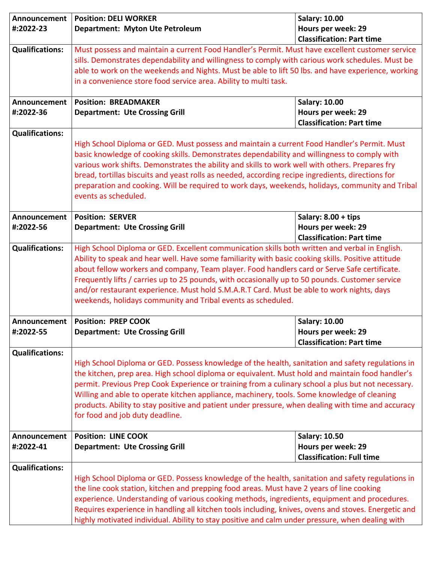| Announcement           | <b>Position: DELI WORKER</b>                                                                                                                                                                           | <b>Salary: 10.00</b>             |
|------------------------|--------------------------------------------------------------------------------------------------------------------------------------------------------------------------------------------------------|----------------------------------|
| #:2022-23              | Department: Myton Ute Petroleum                                                                                                                                                                        | Hours per week: 29               |
|                        | <b>Classification: Part time</b>                                                                                                                                                                       |                                  |
| <b>Qualifications:</b> | Must possess and maintain a current Food Handler's Permit. Must have excellent customer service                                                                                                        |                                  |
|                        | sills. Demonstrates dependability and willingness to comply with carious work schedules. Must be                                                                                                       |                                  |
|                        | able to work on the weekends and Nights. Must be able to lift 50 lbs. and have experience, working                                                                                                     |                                  |
|                        | in a convenience store food service area. Ability to multi task.                                                                                                                                       |                                  |
| Announcement           | <b>Position: BREADMAKER</b>                                                                                                                                                                            | <b>Salary: 10.00</b>             |
| #:2022-36              | <b>Department: Ute Crossing Grill</b>                                                                                                                                                                  | Hours per week: 29               |
|                        |                                                                                                                                                                                                        | <b>Classification: Part time</b> |
| <b>Qualifications:</b> |                                                                                                                                                                                                        |                                  |
|                        | High School Diploma or GED. Must possess and maintain a current Food Handler's Permit. Must                                                                                                            |                                  |
|                        | basic knowledge of cooking skills. Demonstrates dependability and willingness to comply with                                                                                                           |                                  |
|                        | various work shifts. Demonstrates the ability and skills to work well with others. Prepares fry<br>bread, tortillas biscuits and yeast rolls as needed, according recipe ingredients, directions for   |                                  |
|                        | preparation and cooking. Will be required to work days, weekends, holidays, community and Tribal                                                                                                       |                                  |
|                        | events as scheduled.                                                                                                                                                                                   |                                  |
|                        |                                                                                                                                                                                                        |                                  |
| Announcement           | <b>Position: SERVER</b>                                                                                                                                                                                | Salary: $8.00 + tips$            |
| #:2022-56              | <b>Department: Ute Crossing Grill</b>                                                                                                                                                                  | Hours per week: 29               |
|                        |                                                                                                                                                                                                        | <b>Classification: Part time</b> |
| <b>Qualifications:</b> | High School Diploma or GED. Excellent communication skills both written and verbal in English.                                                                                                         |                                  |
|                        | Ability to speak and hear well. Have some familiarity with basic cooking skills. Positive attitude                                                                                                     |                                  |
|                        | about fellow workers and company, Team player. Food handlers card or Serve Safe certificate.<br>Frequently lifts / carries up to 25 pounds, with occasionally up to 50 pounds. Customer service        |                                  |
|                        | and/or restaurant experience. Must hold S.M.A.R.T Card. Must be able to work nights, days                                                                                                              |                                  |
|                        | weekends, holidays community and Tribal events as scheduled.                                                                                                                                           |                                  |
|                        |                                                                                                                                                                                                        |                                  |
| Announcement           | <b>Position: PREP COOK</b>                                                                                                                                                                             | <b>Salary: 10.00</b>             |
| #:2022-55              | <b>Department: Ute Crossing Grill</b>                                                                                                                                                                  | Hours per week: 29               |
|                        |                                                                                                                                                                                                        | <b>Classification: Part time</b> |
| <b>Qualifications:</b> |                                                                                                                                                                                                        |                                  |
|                        | High School Diploma or GED. Possess knowledge of the health, sanitation and safety regulations in                                                                                                      |                                  |
|                        | the kitchen, prep area. High school diploma or equivalent. Must hold and maintain food handler's<br>permit. Previous Prep Cook Experience or training from a culinary school a plus but not necessary. |                                  |
|                        | Willing and able to operate kitchen appliance, machinery, tools. Some knowledge of cleaning                                                                                                            |                                  |
|                        | products. Ability to stay positive and patient under pressure, when dealing with time and accuracy                                                                                                     |                                  |
|                        | for food and job duty deadline.                                                                                                                                                                        |                                  |
|                        |                                                                                                                                                                                                        |                                  |
| Announcement           | <b>Position: LINE COOK</b>                                                                                                                                                                             | <b>Salary: 10.50</b>             |
| #:2022-41              | <b>Department: Ute Crossing Grill</b>                                                                                                                                                                  | Hours per week: 29               |
|                        |                                                                                                                                                                                                        | <b>Classification: Full time</b> |
| <b>Qualifications:</b> | High School Diploma or GED. Possess knowledge of the health, sanitation and safety regulations in                                                                                                      |                                  |
|                        | the line cook station, kitchen and prepping food areas. Must have 2 years of line cooking                                                                                                              |                                  |
|                        | experience. Understanding of various cooking methods, ingredients, equipment and procedures.                                                                                                           |                                  |
|                        | Requires experience in handling all kitchen tools including, knives, ovens and stoves. Energetic and                                                                                                   |                                  |
|                        | highly motivated individual. Ability to stay positive and calm under pressure, when dealing with                                                                                                       |                                  |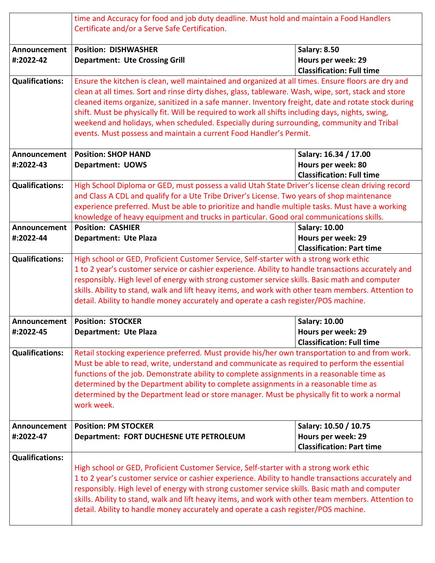|                           | time and Accuracy for food and job duty deadline. Must hold and maintain a Food Handlers<br>Certificate and/or a Serve Safe Certification.                                                                                                                                                                                                                                                                                                                                                                                                                                                |                                                                                 |
|---------------------------|-------------------------------------------------------------------------------------------------------------------------------------------------------------------------------------------------------------------------------------------------------------------------------------------------------------------------------------------------------------------------------------------------------------------------------------------------------------------------------------------------------------------------------------------------------------------------------------------|---------------------------------------------------------------------------------|
| Announcement<br>#:2022-42 | <b>Position: DISHWASHER</b><br><b>Department: Ute Crossing Grill</b>                                                                                                                                                                                                                                                                                                                                                                                                                                                                                                                      | <b>Salary: 8.50</b><br>Hours per week: 29<br><b>Classification: Full time</b>   |
| <b>Qualifications:</b>    | Ensure the kitchen is clean, well maintained and organized at all times. Ensure floors are dry and<br>clean at all times. Sort and rinse dirty dishes, glass, tableware. Wash, wipe, sort, stack and store<br>cleaned items organize, sanitized in a safe manner. Inventory freight, date and rotate stock during<br>shift. Must be physically fit. Will be required to work all shifts including days, nights, swing,<br>weekend and holidays, when scheduled. Especially during surrounding, community and Tribal<br>events. Must possess and maintain a current Food Handler's Permit. |                                                                                 |
| Announcement<br>#:2022-43 | <b>Position: SHOP HAND</b><br><b>Department: UOWS</b>                                                                                                                                                                                                                                                                                                                                                                                                                                                                                                                                     | Salary: 16.34 / 17.00<br>Hours per week: 80<br><b>Classification: Full time</b> |
| <b>Qualifications:</b>    | High School Diploma or GED, must possess a valid Utah State Driver's license clean driving record<br>and Class A CDL and qualify for a Ute Tribe Driver's License. Two years of shop maintenance<br>experience preferred. Must be able to prioritize and handle multiple tasks. Must have a working<br>knowledge of heavy equipment and trucks in particular. Good oral communications skills.                                                                                                                                                                                            |                                                                                 |
| Announcement<br>#:2022-44 | <b>Position: CASHIER</b><br><b>Department: Ute Plaza</b>                                                                                                                                                                                                                                                                                                                                                                                                                                                                                                                                  | <b>Salary: 10.00</b><br>Hours per week: 29<br><b>Classification: Part time</b>  |
| <b>Qualifications:</b>    | High school or GED, Proficient Customer Service, Self-starter with a strong work ethic<br>1 to 2 year's customer service or cashier experience. Ability to handle transactions accurately and<br>responsibly. High level of energy with strong customer service skills. Basic math and computer<br>skills. Ability to stand, walk and lift heavy items, and work with other team members. Attention to<br>detail. Ability to handle money accurately and operate a cash register/POS machine.                                                                                             |                                                                                 |
| Announcement<br>#:2022-45 | <b>Position: STOCKER</b><br>Department: Ute Plaza                                                                                                                                                                                                                                                                                                                                                                                                                                                                                                                                         | <b>Salary: 10.00</b><br>Hours per week: 29<br><b>Classification: Full time</b>  |
| <b>Qualifications:</b>    | Retail stocking experience preferred. Must provide his/her own transportation to and from work.<br>Must be able to read, write, understand and communicate as required to perform the essential<br>functions of the job. Demonstrate ability to complete assignments in a reasonable time as<br>determined by the Department ability to complete assignments in a reasonable time as<br>determined by the Department lead or store manager. Must be physically fit to work a normal<br>work week.                                                                                         |                                                                                 |
| Announcement<br>#:2022-47 | <b>Position: PM STOCKER</b><br>Department: FORT DUCHESNE UTE PETROLEUM                                                                                                                                                                                                                                                                                                                                                                                                                                                                                                                    | Salary: 10.50 / 10.75<br>Hours per week: 29<br><b>Classification: Part time</b> |
| <b>Qualifications:</b>    | High school or GED, Proficient Customer Service, Self-starter with a strong work ethic<br>1 to 2 year's customer service or cashier experience. Ability to handle transactions accurately and<br>responsibly. High level of energy with strong customer service skills. Basic math and computer<br>skills. Ability to stand, walk and lift heavy items, and work with other team members. Attention to<br>detail. Ability to handle money accurately and operate a cash register/POS machine.                                                                                             |                                                                                 |